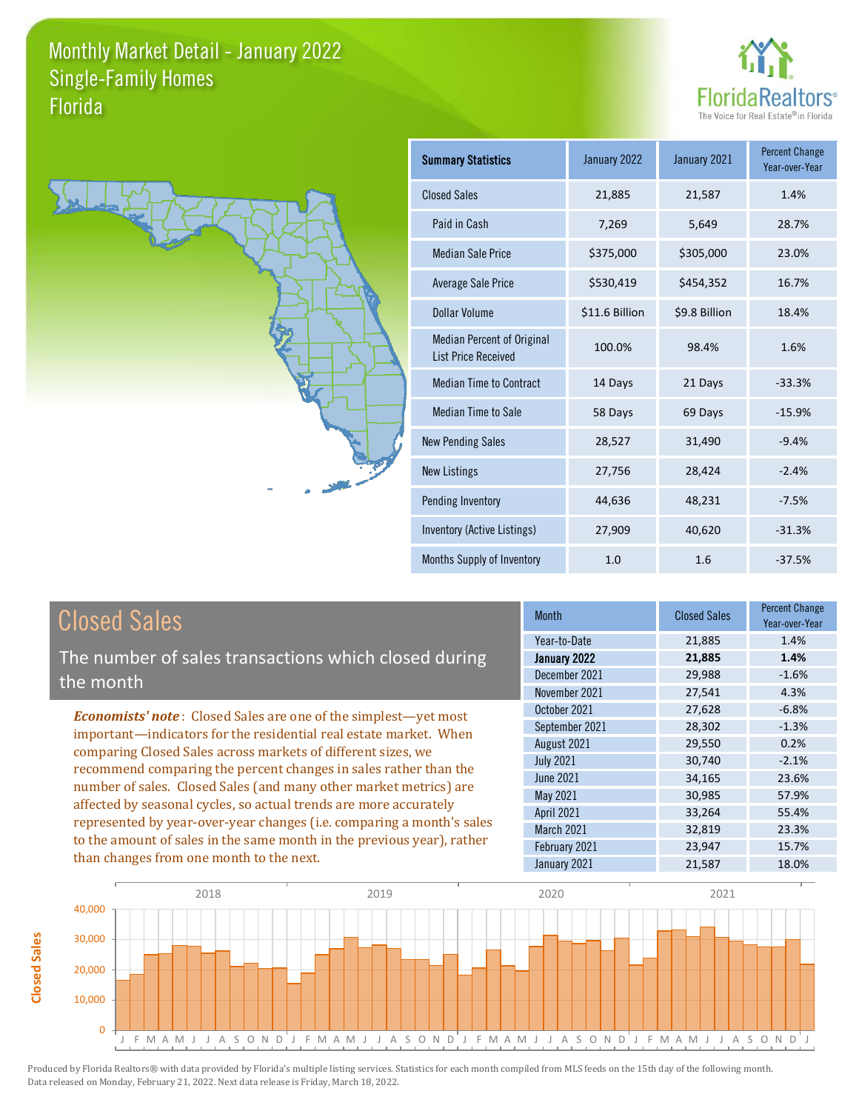



**Closed Sales**

**Closed Sales** 

| <b>Summary Statistics</b>                                       | January 2022   | January 2021  | <b>Percent Change</b><br>Year-over-Year |
|-----------------------------------------------------------------|----------------|---------------|-----------------------------------------|
| <b>Closed Sales</b>                                             | 21,885         | 21,587        | 1.4%                                    |
| Paid in Cash                                                    | 7,269          | 5,649         | 28.7%                                   |
| <b>Median Sale Price</b>                                        | \$375,000      | \$305,000     | 23.0%                                   |
| <b>Average Sale Price</b>                                       | \$530,419      | \$454,352     | 16.7%                                   |
| Dollar Volume                                                   | \$11.6 Billion | \$9.8 Billion | 18.4%                                   |
| <b>Median Percent of Original</b><br><b>List Price Received</b> | 100.0%         | 98.4%         | 1.6%                                    |
| <b>Median Time to Contract</b>                                  | 14 Days        | 21 Days       | $-33.3%$                                |
| <b>Median Time to Sale</b>                                      | 58 Days        | 69 Days       | $-15.9%$                                |
| <b>New Pending Sales</b>                                        | 28,527         | 31,490        | $-9.4%$                                 |
| <b>New Listings</b>                                             | 27,756         | 28,424        | $-2.4%$                                 |
| Pending Inventory                                               | 44,636         | 48,231        | $-7.5%$                                 |
| Inventory (Active Listings)                                     | 27,909         | 40,620        | $-31.3%$                                |
| Months Supply of Inventory                                      | 1.0            | 1.6           | $-37.5%$                                |

| <b>Closed Sales</b>                                                                                                                                                                                                                                                                                                                                                                                                                                                                                                                                                                                                      | <b>Month</b>                                                                                                                                                   | <b>Closed Sales</b>                                                                              | <b>Percent Change</b><br>Year-over-Year                                                     |
|--------------------------------------------------------------------------------------------------------------------------------------------------------------------------------------------------------------------------------------------------------------------------------------------------------------------------------------------------------------------------------------------------------------------------------------------------------------------------------------------------------------------------------------------------------------------------------------------------------------------------|----------------------------------------------------------------------------------------------------------------------------------------------------------------|--------------------------------------------------------------------------------------------------|---------------------------------------------------------------------------------------------|
| The number of sales transactions which closed during<br>the month                                                                                                                                                                                                                                                                                                                                                                                                                                                                                                                                                        | Year-to-Date<br>January 2022<br>December 2021<br>November 2021                                                                                                 | 21,885<br>21,885<br>29,988<br>27,541                                                             | 1.4%<br>1.4%<br>$-1.6%$<br>4.3%                                                             |
| <b>Economists' note:</b> Closed Sales are one of the simplest—yet most<br>important-indicators for the residential real estate market. When<br>comparing Closed Sales across markets of different sizes, we<br>recommend comparing the percent changes in sales rather than the<br>number of sales. Closed Sales (and many other market metrics) are<br>affected by seasonal cycles, so actual trends are more accurately<br>represented by year-over-year changes (i.e. comparing a month's sales<br>to the amount of sales in the same month in the previous year), rather<br>than changes from one month to the next. | October 2021<br>September 2021<br>August 2021<br><b>July 2021</b><br>June 2021<br>May 2021<br>April 2021<br><b>March 2021</b><br>February 2021<br>January 2021 | 27,628<br>28,302<br>29,550<br>30,740<br>34,165<br>30,985<br>33,264<br>32,819<br>23,947<br>21,587 | $-6.8%$<br>$-1.3%$<br>0.2%<br>$-2.1%$<br>23.6%<br>57.9%<br>55.4%<br>23.3%<br>15.7%<br>18.0% |

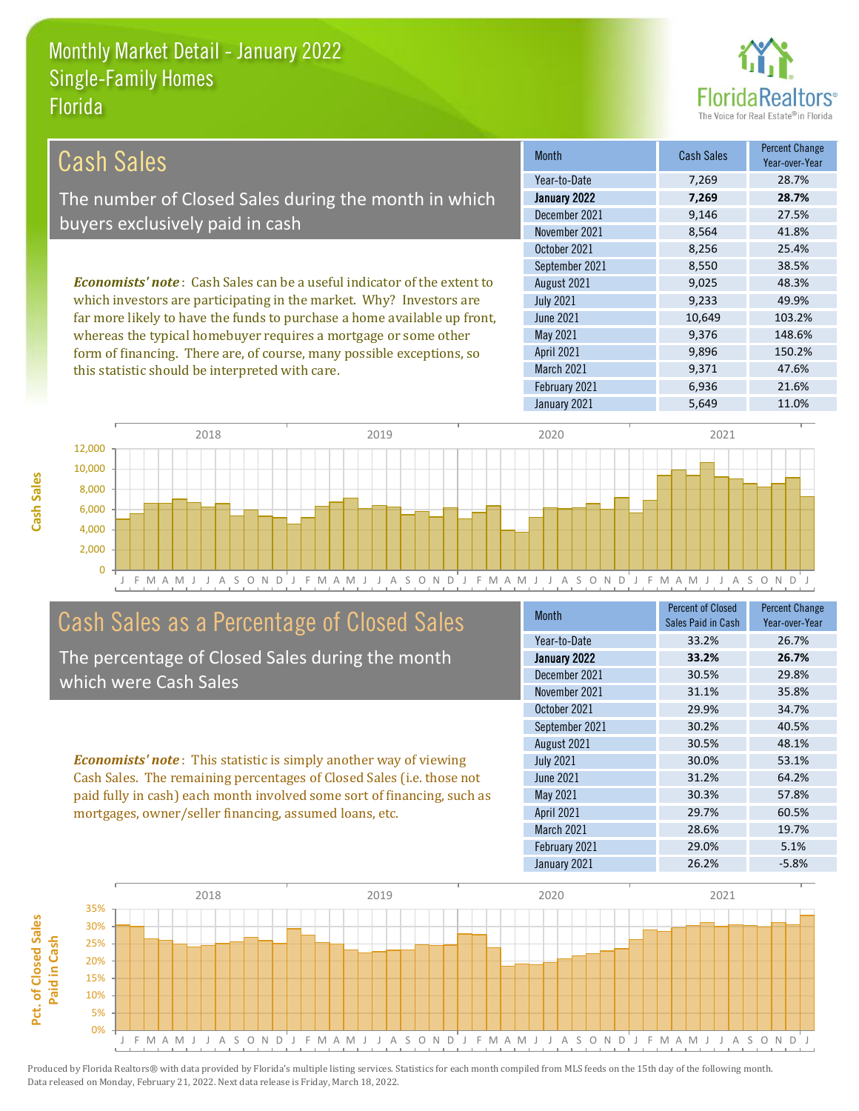this statistic should be interpreted with care.



9,371 47.6%

| Cash Sales                                                                     | <b>Month</b>      | <b>Cash Sales</b> | <b>Percent Change</b><br>Year-over-Year |
|--------------------------------------------------------------------------------|-------------------|-------------------|-----------------------------------------|
|                                                                                | Year-to-Date      | 7.269             | 28.7%                                   |
| The number of Closed Sales during the month in which                           | January 2022      | 7,269             | 28.7%                                   |
| buyers exclusively paid in cash                                                | December 2021     | 9.146             | 27.5%                                   |
|                                                                                | November 2021     | 8,564             | 41.8%                                   |
|                                                                                | October 2021      | 8.256             | 25.4%                                   |
|                                                                                | September 2021    | 8,550             | 38.5%                                   |
| <b>Economists' note:</b> Cash Sales can be a useful indicator of the extent to | August 2021       | 9,025             | 48.3%                                   |
| which investors are participating in the market. Why? Investors are            | <b>July 2021</b>  | 9.233             | 49.9%                                   |
| far more likely to have the funds to purchase a home available up front,       | June 2021         | 10,649            | 103.2%                                  |
| whereas the typical homebuyer requires a mortgage or some other                | May 2021          | 9,376             | 148.6%                                  |
| form of financing. There are, of course, many possible exceptions, so          | <b>April 2021</b> | 9.896             | 150.2%                                  |

March 2021



## Cash Sales as a Percentage of Closed Sales

The percentage of Closed Sales during the month which were Cash Sales

*Economists' note* : This statistic is simply another way of viewing Cash Sales. The remaining percentages of Closed Sales (i.e. those not paid fully in cash) each month involved some sort of financing, such as mortgages, owner/seller financing, assumed loans, etc.

| Month            | <b>Percent of Closed</b> | <b>Percent Change</b> |
|------------------|--------------------------|-----------------------|
|                  | Sales Paid in Cash       | Year-over-Year        |
| Year-to-Date     | 33.2%                    | 26.7%                 |
| January 2022     | 33.2%                    | 26.7%                 |
| December 2021    | 30.5%                    | 29.8%                 |
| November 2021    | 31.1%                    | 35.8%                 |
| October 2021     | 29.9%                    | 34.7%                 |
| September 2021   | 30.2%                    | 40.5%                 |
| August 2021      | 30.5%                    | 48.1%                 |
| <b>July 2021</b> | 30.0%                    | 53.1%                 |
| <b>June 2021</b> | 31.2%                    | 64.2%                 |
| May 2021         | 30.3%                    | 57.8%                 |
| April 2021       | 29.7%                    | 60.5%                 |
| March 2021       | 28.6%                    | 19.7%                 |
| February 2021    | 29.0%                    | 5.1%                  |
| January 2021     | 26.2%                    | $-5.8%$               |

February 2021 6,936 21.6%

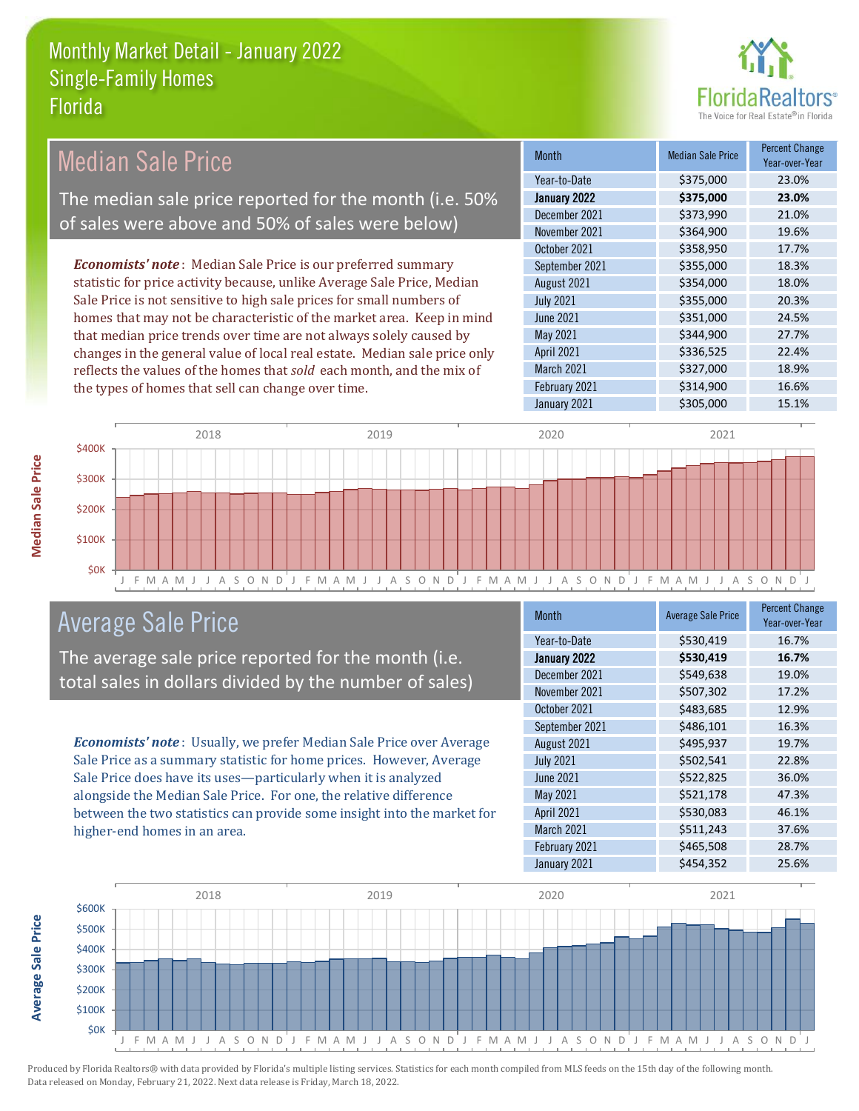

| <b>Median Sale Price</b>                                                  | <b>Month</b>      | <b>Median Sale Price</b> | <b>Percent Change</b><br>Year-over-Year |
|---------------------------------------------------------------------------|-------------------|--------------------------|-----------------------------------------|
|                                                                           | Year-to-Date      | \$375,000                | 23.0%                                   |
| The median sale price reported for the month (i.e. 50%                    | January 2022      | \$375,000                | 23.0%                                   |
| of sales were above and 50% of sales were below)                          | December 2021     | \$373,990                | 21.0%                                   |
|                                                                           | November 2021     | \$364,900                | 19.6%                                   |
|                                                                           | October 2021      | \$358,950                | 17.7%                                   |
| <b>Economists' note:</b> Median Sale Price is our preferred summary       | September 2021    | \$355,000                | 18.3%                                   |
| statistic for price activity because, unlike Average Sale Price, Median   | August 2021       | \$354,000                | 18.0%                                   |
| Sale Price is not sensitive to high sale prices for small numbers of      | <b>July 2021</b>  | \$355,000                | 20.3%                                   |
| homes that may not be characteristic of the market area. Keep in mind     | June 2021         | \$351,000                | 24.5%                                   |
| that median price trends over time are not always solely caused by        | May 2021          | \$344,900                | 27.7%                                   |
| changes in the general value of local real estate. Median sale price only | <b>April 2021</b> | \$336,525                | 22.4%                                   |
| reflects the values of the homes that sold each month, and the mix of     | <b>March 2021</b> | \$327,000                | 18.9%                                   |
| the types of homes that sell can change over time.                        | February 2021     | \$314,900                | 16.6%                                   |
|                                                                           | January 2021      | \$305,000                | 15.1%                                   |



## Average Sale Price

The average sale price reported for the month (i.e. total sales in dollars divided by the number of sales)

*Economists' note* : Usually, we prefer Median Sale Price over Average Sale Price as a summary statistic for home prices. However, Average Sale Price does have its uses—particularly when it is analyzed alongside the Median Sale Price. For one, the relative difference between the two statistics can provide some insight into the market for higher-end homes in an area.

| <b>Month</b>     | <b>Average Sale Price</b> | <b>Percent Change</b><br>Year-over-Year |
|------------------|---------------------------|-----------------------------------------|
| Year-to-Date     | \$530,419                 | 16.7%                                   |
| January 2022     | \$530,419                 | 16.7%                                   |
| December 2021    | \$549,638                 | 19.0%                                   |
| November 2021    | \$507,302                 | 17.2%                                   |
| October 2021     | \$483,685                 | 12.9%                                   |
| September 2021   | \$486,101                 | 16.3%                                   |
| August 2021      | \$495,937                 | 19.7%                                   |
| <b>July 2021</b> | \$502,541                 | 22.8%                                   |
| <b>June 2021</b> | \$522,825                 | 36.0%                                   |
| May 2021         | \$521,178                 | 47.3%                                   |
| April 2021       | \$530,083                 | 46.1%                                   |
| March 2021       | \$511,243                 | 37.6%                                   |
| February 2021    | \$465,508                 | 28.7%                                   |
| January 2021     | \$454,352                 | 25.6%                                   |



Produced by Florida Realtors® with data provided by Florida's multiple listing services. Statistics for each month compiled from MLS feeds on the 15th day of the following month. Data released on Monday, February 21, 2022. Next data release is Friday, March 18, 2022.

**Average Sale Price**

**Average Sale Price**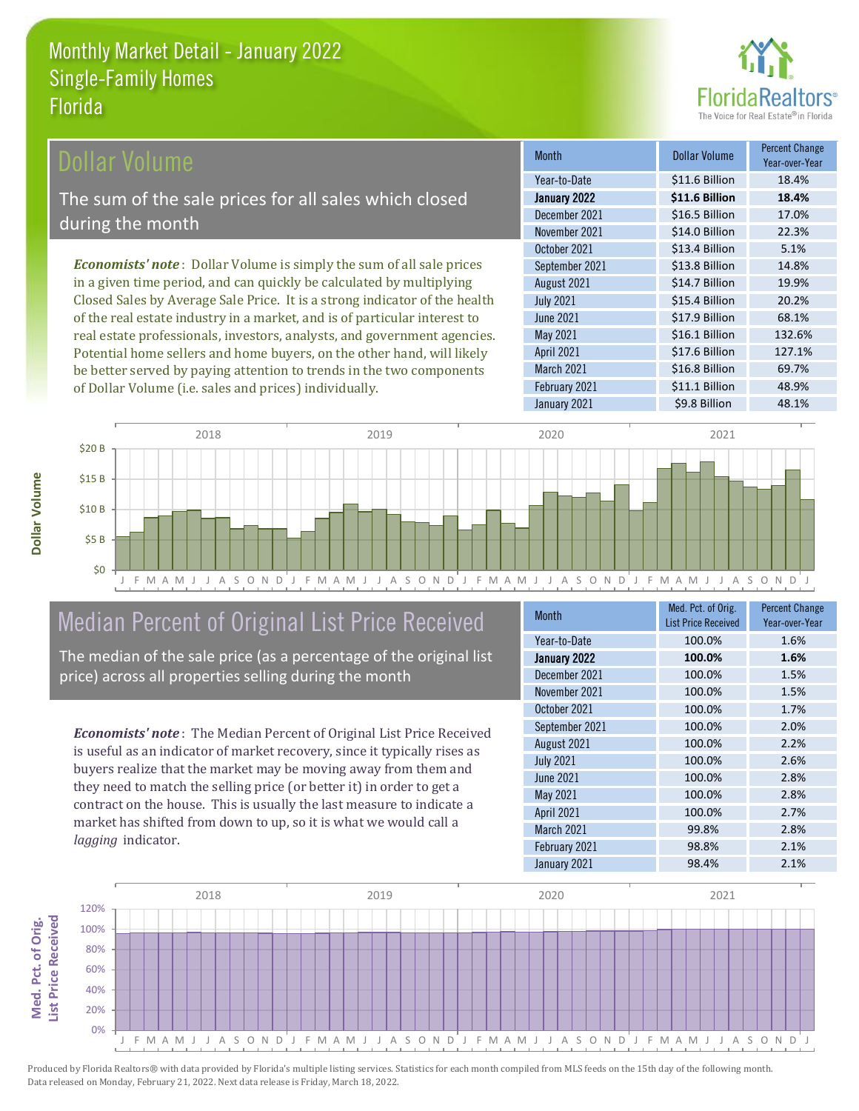

#### Dollar Volume

The sum of the sale prices for all sales which closed during the month

*Economists' note* : Dollar Volume is simply the sum of all sale prices in a given time period, and can quickly be calculated by multiplying Closed Sales by Average Sale Price. It is a strong indicator of the health of the real estate industry in a market, and is of particular interest to real estate professionals, investors, analysts, and government agencies. Potential home sellers and home buyers, on the other hand, will likely be better served by paying attention to trends in the two components of Dollar Volume (i.e. sales and prices) individually.

| <b>Month</b>     | <b>Dollar Volume</b> | Percent Change<br>Year-over-Year |
|------------------|----------------------|----------------------------------|
| Year-to-Date     | \$11.6 Billion       | 18.4%                            |
| January 2022     | \$11.6 Billion       | 18.4%                            |
| December 2021    | \$16.5 Billion       | 17.0%                            |
| November 2021    | \$14.0 Billion       | 22.3%                            |
| October 2021     | \$13.4 Billion       | 5.1%                             |
| September 2021   | \$13.8 Billion       | 14.8%                            |
| August 2021      | \$14.7 Billion       | 19.9%                            |
| <b>July 2021</b> | \$15.4 Billion       | 20.2%                            |
| <b>June 2021</b> | \$17.9 Billion       | 68.1%                            |
| May 2021         | \$16.1 Billion       | 132.6%                           |
| April 2021       | \$17.6 Billion       | 127.1%                           |
| March 2021       | \$16.8 Billion       | 69.7%                            |
| February 2021    | \$11.1 Billion       | 48.9%                            |
| January 2021     | \$9.8 Billion        | 48.1%                            |



## Median Percent of Original List Price Received

The median of the sale price (as a percentage of the original list price) across all properties selling during the month

*Economists' note* : The Median Percent of Original List Price Received is useful as an indicator of market recovery, since it typically rises as buyers realize that the market may be moving away from them and they need to match the selling price (or better it) in order to get a contract on the house. This is usually the last measure to indicate a market has shifted from down to up, so it is what we would call a *lagging* indicator.

| <b>Month</b>      | Med. Pct. of Orig.         | <b>Percent Change</b> |
|-------------------|----------------------------|-----------------------|
|                   | <b>List Price Received</b> | Year-over-Year        |
| Year-to-Date      | 100.0%                     | 1.6%                  |
| January 2022      | 100.0%                     | 1.6%                  |
| December 2021     | 100.0%                     | 1.5%                  |
| November 2021     | 100.0%                     | 1.5%                  |
| October 2021      | 100.0%                     | 1.7%                  |
| September 2021    | 100.0%                     | 2.0%                  |
| August 2021       | 100.0%                     | 2.2%                  |
| <b>July 2021</b>  | 100.0%                     | 2.6%                  |
| June 2021         | 100.0%                     | 2.8%                  |
| May 2021          | 100.0%                     | 2.8%                  |
| <b>April 2021</b> | 100.0%                     | 2.7%                  |
| March 2021        | 99.8%                      | 2.8%                  |
| February 2021     | 98.8%                      | 2.1%                  |
| January 2021      | 98.4%                      | 2.1%                  |

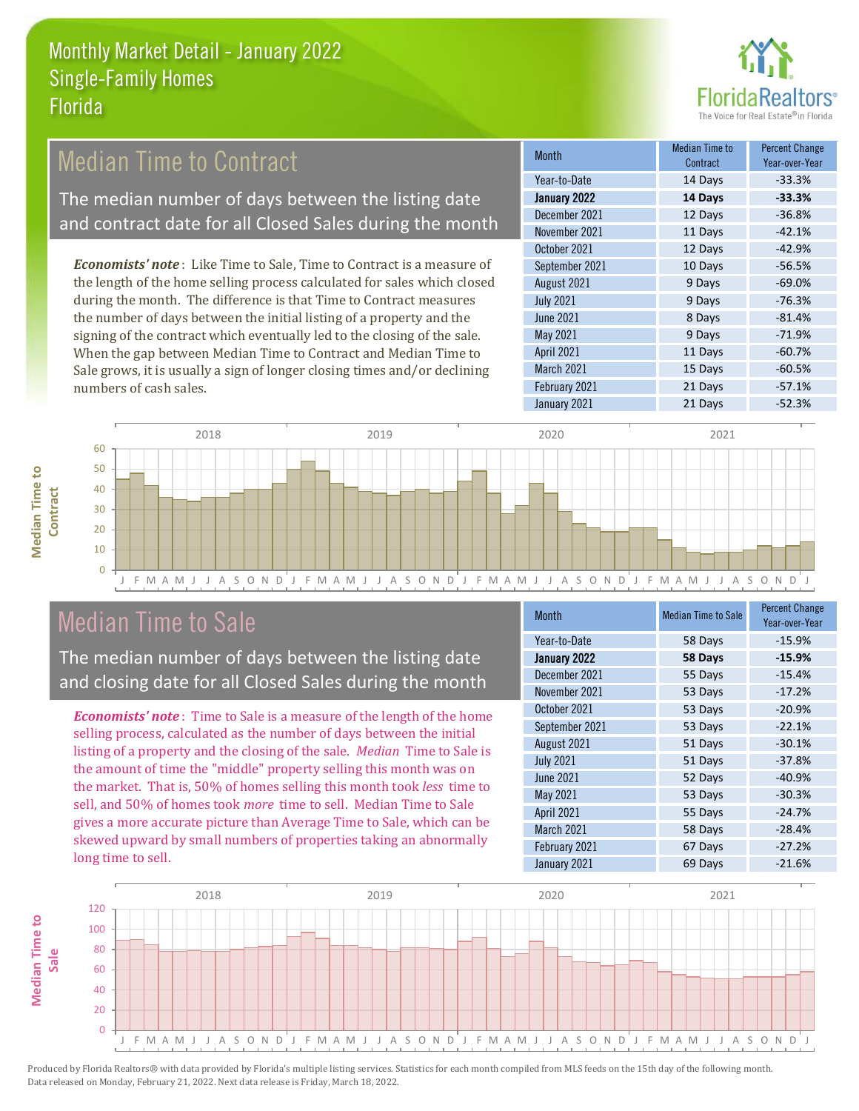

## Median Time to Contract

The median number of days between the listing date and contract date for all Closed Sales during the month

*Economists' note* : Like Time to Sale, Time to Contract is a measure of the length of the home selling process calculated for sales which closed during the month. The difference is that Time to Contract measures the number of days between the initial listing of a property and the signing of the contract which eventually led to the closing of the sale. When the gap between Median Time to Contract and Median Time to Sale grows, it is usually a sign of longer closing times and/or declining numbers of cash sales.

| <b>Month</b>     | Median Time to<br>Contract | Percent Change<br>Year-over-Year |
|------------------|----------------------------|----------------------------------|
| Year-to-Date     | 14 Days                    | $-33.3%$                         |
| January 2022     | 14 Days                    | $-33.3%$                         |
| December 2021    | 12 Days                    | $-36.8%$                         |
| November 2021    | 11 Days                    | $-42.1%$                         |
| October 2021     | 12 Days                    | $-42.9%$                         |
| September 2021   | 10 Days                    | $-56.5%$                         |
| August 2021      | 9 Days                     | $-69.0%$                         |
| <b>July 2021</b> | 9 Days                     | $-76.3%$                         |
| <b>June 2021</b> | 8 Days                     | $-81.4%$                         |
| May 2021         | 9 Days                     | $-71.9%$                         |
| April 2021       | 11 Days                    | $-60.7%$                         |
| March 2021       | 15 Days                    | $-60.5%$                         |
| February 2021    | 21 Days                    | $-57.1%$                         |
| January 2021     | 21 Days                    | $-52.3%$                         |



### Median Time to Sale

**Median Time to** 

**Median Time to** 

The median number of days between the listing date and closing date for all Closed Sales during the month

*Economists' note* : Time to Sale is a measure of the length of the home selling process, calculated as the number of days between the initial listing of a property and the closing of the sale. *Median* Time to Sale is the amount of time the "middle" property selling this month was on the market. That is, 50% of homes selling this month took *less* time to sell, and 50% of homes took *more* time to sell. Median Time to Sale gives a more accurate picture than Average Time to Sale, which can be skewed upward by small numbers of properties taking an abnormally long time to sell.

| <b>Month</b>     | <b>Median Time to Sale</b> | <b>Percent Change</b><br>Year-over-Year |
|------------------|----------------------------|-----------------------------------------|
| Year-to-Date     | 58 Days                    | $-15.9%$                                |
| January 2022     | 58 Days                    | $-15.9%$                                |
| December 2021    | 55 Days                    | $-15.4%$                                |
| November 2021    | 53 Days                    | $-17.2%$                                |
| October 2021     | 53 Days                    | $-20.9%$                                |
| September 2021   | 53 Days                    | $-22.1%$                                |
| August 2021      | 51 Days                    | $-30.1%$                                |
| <b>July 2021</b> | 51 Days                    | $-37.8%$                                |
| <b>June 2021</b> | 52 Days                    | $-40.9%$                                |
| May 2021         | 53 Days                    | $-30.3%$                                |
| April 2021       | 55 Days                    | $-24.7%$                                |
| March 2021       | 58 Days                    | $-28.4%$                                |
| February 2021    | 67 Days                    | $-27.2%$                                |
| January 2021     | 69 Days                    | $-21.6%$                                |

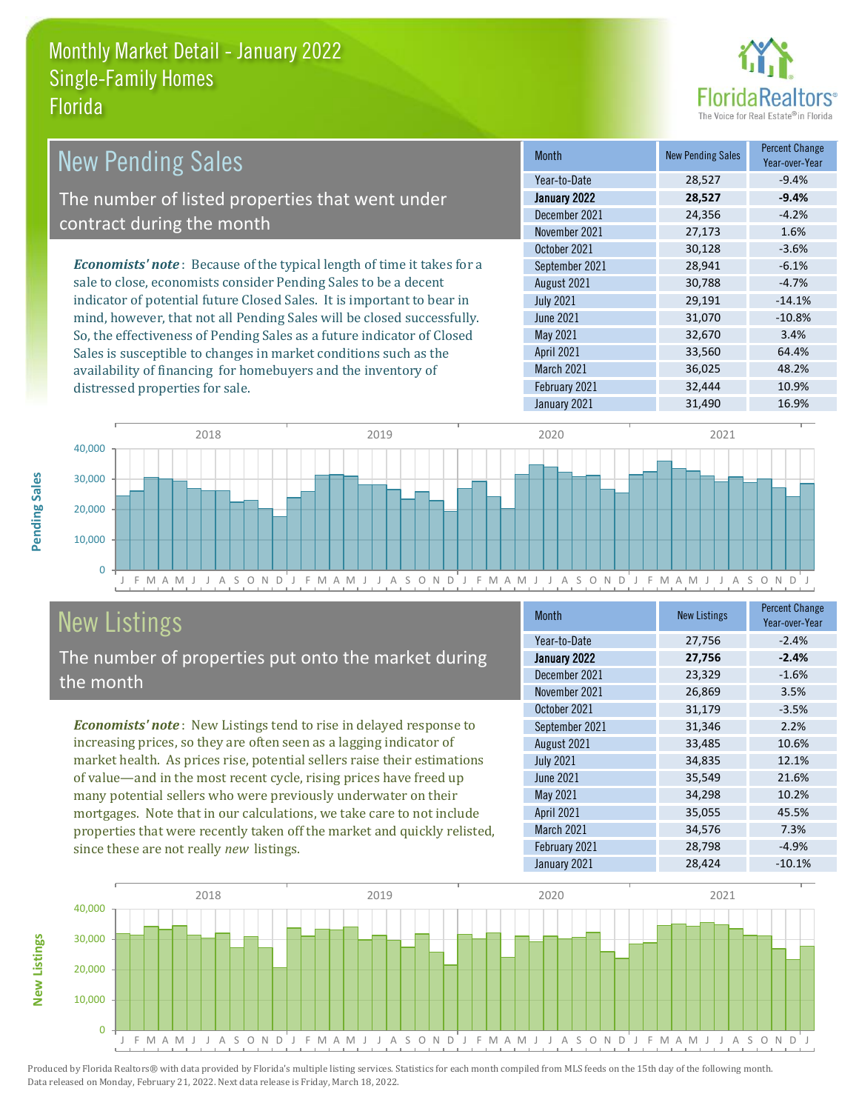

| <b>New Pending Sales</b>                                                       | <b>Month</b>      | <b>New Pending Sales</b> | <b>Percent Change</b><br>Year-over-Year |
|--------------------------------------------------------------------------------|-------------------|--------------------------|-----------------------------------------|
|                                                                                | Year-to-Date      | 28,527                   | $-9.4%$                                 |
| The number of listed properties that went under                                | January 2022      | 28,527                   | $-9.4%$                                 |
| contract during the month                                                      | December 2021     | 24,356                   | $-4.2%$                                 |
|                                                                                | November 2021     | 27,173                   | 1.6%                                    |
|                                                                                | October 2021      | 30,128                   | $-3.6%$                                 |
| <b>Economists' note</b> : Because of the typical length of time it takes for a | September 2021    | 28.941                   | $-6.1%$                                 |
| sale to close, economists consider Pending Sales to be a decent                | August 2021       | 30,788                   | $-4.7%$                                 |
| indicator of potential future Closed Sales. It is important to bear in         | <b>July 2021</b>  | 29,191                   | $-14.1%$                                |
| mind, however, that not all Pending Sales will be closed successfully.         | June 2021         | 31,070                   | $-10.8%$                                |
| So, the effectiveness of Pending Sales as a future indicator of Closed         | May 2021          | 32,670                   | 3.4%                                    |
| Sales is susceptible to changes in market conditions such as the               | <b>April 2021</b> | 33,560                   | 64.4%                                   |



# New Listings

distressed properties for sale.

The number of properties put onto the market during the month

availability of financing for homebuyers and the inventory of

*Economists' note* : New Listings tend to rise in delayed response to increasing prices, so they are often seen as a lagging indicator of market health. As prices rise, potential sellers raise their estimations of value—and in the most recent cycle, rising prices have freed up many potential sellers who were previously underwater on their mortgages. Note that in our calculations, we take care to not include properties that were recently taken off the market and quickly relisted, since these are not really *new* listings.

| <b>Month</b>     | <b>New Listings</b> | <b>Percent Change</b><br>Year-over-Year |
|------------------|---------------------|-----------------------------------------|
| Year-to-Date     | 27,756              | $-2.4%$                                 |
| January 2022     | 27,756              | $-2.4%$                                 |
| December 2021    | 23,329              | $-1.6%$                                 |
| November 2021    | 26,869              | 3.5%                                    |
| October 2021     | 31,179              | $-3.5%$                                 |
| September 2021   | 31,346              | 2.2%                                    |
| August 2021      | 33,485              | 10.6%                                   |
| <b>July 2021</b> | 34,835              | 12.1%                                   |
| <b>June 2021</b> | 35,549              | 21.6%                                   |
| <b>May 2021</b>  | 34,298              | 10.2%                                   |
| April 2021       | 35,055              | 45.5%                                   |
| March 2021       | 34,576              | 7.3%                                    |
| February 2021    | 28,798              | $-4.9%$                                 |
| January 2021     | 28,424              | $-10.1%$                                |

March 2021 36,025 48.2% February 2021 32,444 10.9%



Produced by Florida Realtors® with data provided by Florida's multiple listing services. Statistics for each month compiled from MLS feeds on the 15th day of the following month. Data released on Monday, February 21, 2022. Next data release is Friday, March 18, 2022.

**New Listings**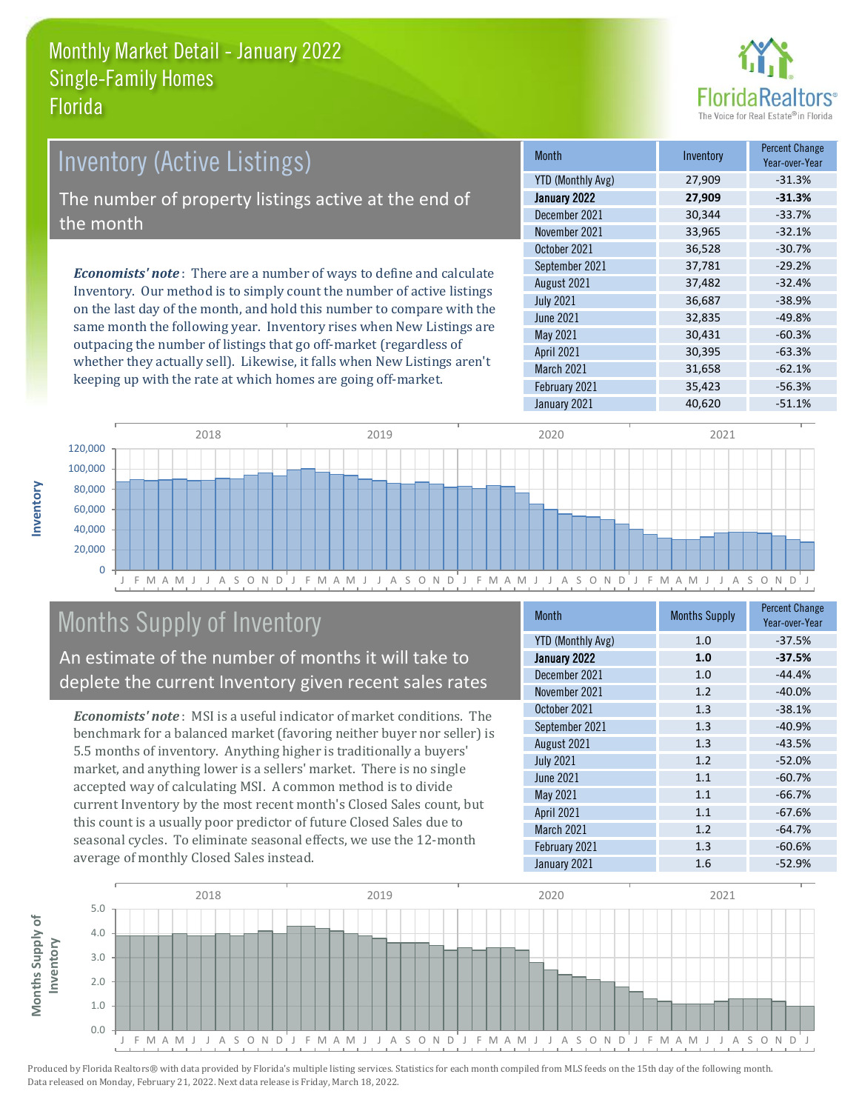

# Inventory (Active Listings) The number of property listings active at the end of the month

*Economists' note* : There are a number of ways to define and calculate Inventory. Our method is to simply count the number of active listings on the last day of the month, and hold this number to compare with the same month the following year. Inventory rises when New Listings are outpacing the number of listings that go off-market (regardless of whether they actually sell). Likewise, it falls when New Listings aren't keeping up with the rate at which homes are going off-market.

| <b>Month</b>             | Inventory | <b>Percent Change</b><br>Year-over-Year |
|--------------------------|-----------|-----------------------------------------|
| <b>YTD (Monthly Avg)</b> | 27,909    | $-31.3%$                                |
| January 2022             | 27,909    | $-31.3%$                                |
| December 2021            | 30,344    | $-33.7%$                                |
| November 2021            | 33,965    | $-32.1%$                                |
| October 2021             | 36,528    | $-30.7%$                                |
| September 2021           | 37,781    | $-29.2%$                                |
| August 2021              | 37,482    | $-32.4%$                                |
| <b>July 2021</b>         | 36,687    | $-38.9%$                                |
| <b>June 2021</b>         | 32,835    | $-49.8%$                                |
| May 2021                 | 30,431    | $-60.3%$                                |
| April 2021               | 30,395    | $-63.3%$                                |
| March 2021               | 31,658    | $-62.1%$                                |
| February 2021            | 35,423    | $-56.3%$                                |
| January 2021             | 40,620    | $-51.1%$                                |



# Months Supply of Inventory

An estimate of the number of months it will take to deplete the current Inventory given recent sales rates

*Economists' note* : MSI is a useful indicator of market conditions. The benchmark for a balanced market (favoring neither buyer nor seller) is 5.5 months of inventory. Anything higher is traditionally a buyers' market, and anything lower is a sellers' market. There is no single accepted way of calculating MSI. A common method is to divide current Inventory by the most recent month's Closed Sales count, but this count is a usually poor predictor of future Closed Sales due to seasonal cycles. To eliminate seasonal effects, we use the 12-month average of monthly Closed Sales instead.

| <b>Month</b>             | <b>Months Supply</b> | <b>Percent Change</b><br>Year-over-Year |
|--------------------------|----------------------|-----------------------------------------|
| <b>YTD (Monthly Avg)</b> | 1.0                  | $-37.5%$                                |
| January 2022             | 1.0                  | $-37.5%$                                |
| December 2021            | 1.0                  | $-44.4%$                                |
| November 2021            | 1.2                  | $-40.0%$                                |
| October 2021             | 1.3                  | $-38.1%$                                |
| September 2021           | 1.3                  | $-40.9%$                                |
| August 2021              | 1.3                  | $-43.5%$                                |
| <b>July 2021</b>         | 1.2                  | $-52.0%$                                |
| <b>June 2021</b>         | 1.1                  | $-60.7%$                                |
| May 2021                 | 1.1                  | $-66.7%$                                |
| <b>April 2021</b>        | 1.1                  | $-67.6%$                                |
| March 2021               | 1.2                  | $-64.7%$                                |
| February 2021            | 1.3                  | $-60.6%$                                |
| January 2021             | 1.6                  | $-52.9%$                                |

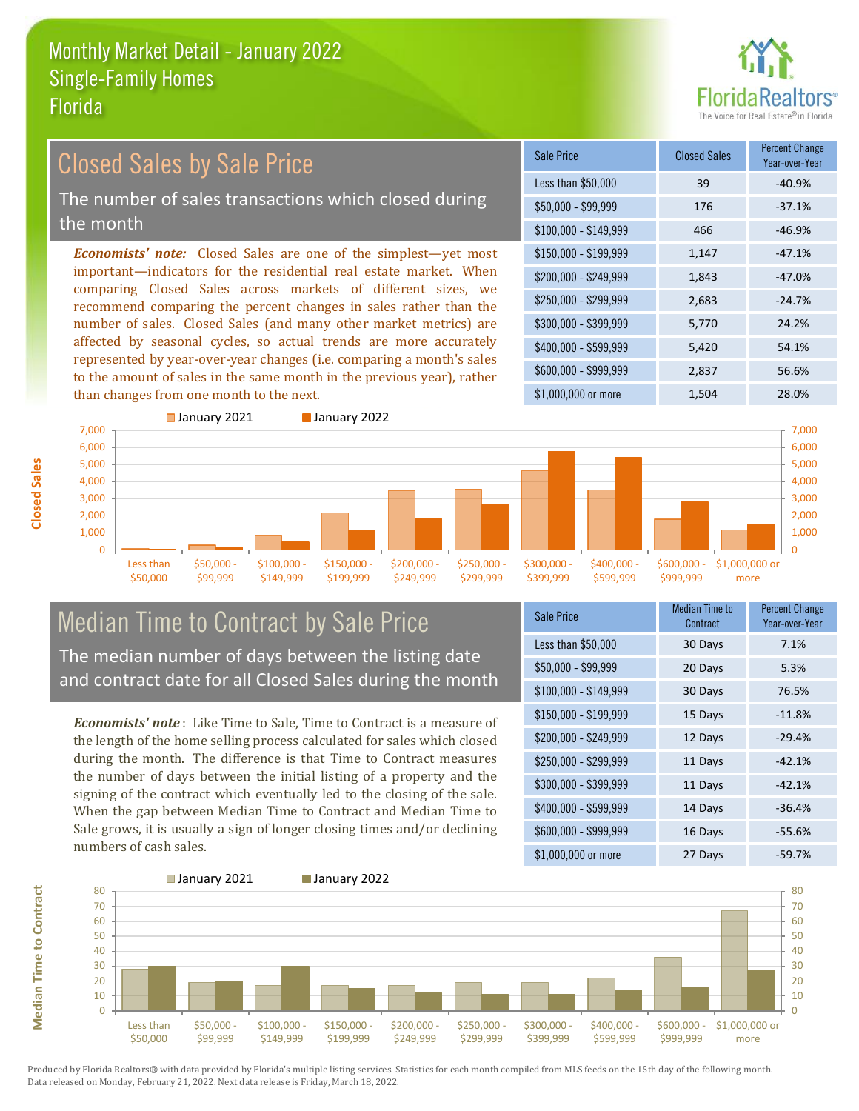

# Closed Sales by Sale Price

The number of sales transactions which closed during the month

*Economists' note:* Closed Sales are one of the simplest—yet most important—indicators for the residential real estate market. When comparing Closed Sales across markets of different sizes, we recommend comparing the percent changes in sales rather than the number of sales. Closed Sales (and many other market metrics) are affected by seasonal cycles, so actual trends are more accurately represented by year-over-year changes (i.e. comparing a month's sales to the amount of sales in the same month in the previous year), rather than changes from one month to the next.

| <b>Sale Price</b>     | <b>Closed Sales</b> | <b>Percent Change</b><br>Year-over-Year |
|-----------------------|---------------------|-----------------------------------------|
| Less than \$50,000    | 39                  | $-40.9%$                                |
| \$50,000 - \$99,999   | 176                 | $-37.1%$                                |
| $$100,000 - $149,999$ | 466                 | $-46.9%$                                |
| $$150,000 - $199,999$ | 1,147               | $-47.1%$                                |
| \$200,000 - \$249,999 | 1,843               | $-47.0%$                                |
| \$250,000 - \$299,999 | 2,683               | $-24.7%$                                |
| \$300,000 - \$399,999 | 5,770               | 24.2%                                   |
| \$400,000 - \$599,999 | 5,420               | 54.1%                                   |
| \$600,000 - \$999,999 | 2,837               | 56.6%                                   |
| \$1,000,000 or more   | 1,504               | 28.0%                                   |



# Median Time to Contract by Sale Price The median number of days between the listing date

and contract date for all Closed Sales during the month

*Economists' note* : Like Time to Sale, Time to Contract is a measure of the length of the home selling process calculated for sales which closed during the month. The difference is that Time to Contract measures the number of days between the initial listing of a property and the signing of the contract which eventually led to the closing of the sale. When the gap between Median Time to Contract and Median Time to Sale grows, it is usually a sign of longer closing times and/or declining numbers of cash sales.

| Sale Price            | <b>Median Time to</b><br>Contract | <b>Percent Change</b><br>Year-over-Year |
|-----------------------|-----------------------------------|-----------------------------------------|
| Less than \$50,000    | 30 Days                           | 7.1%                                    |
| $$50,000 - $99,999$   | 20 Days                           | 5.3%                                    |
| $$100,000 - $149,999$ | 30 Days                           | 76.5%                                   |
| \$150,000 - \$199,999 | 15 Days                           | $-11.8%$                                |
| \$200,000 - \$249,999 | 12 Days                           | $-29.4%$                                |
| \$250,000 - \$299,999 | 11 Days                           | $-42.1%$                                |
| \$300,000 - \$399,999 | 11 Days                           | $-42.1%$                                |
| \$400,000 - \$599,999 | 14 Days                           | $-36.4%$                                |
| \$600,000 - \$999,999 | 16 Days                           | $-55.6%$                                |
| $$1,000,000$ or more  | 27 Days                           | $-59.7%$                                |



**Closed Sales**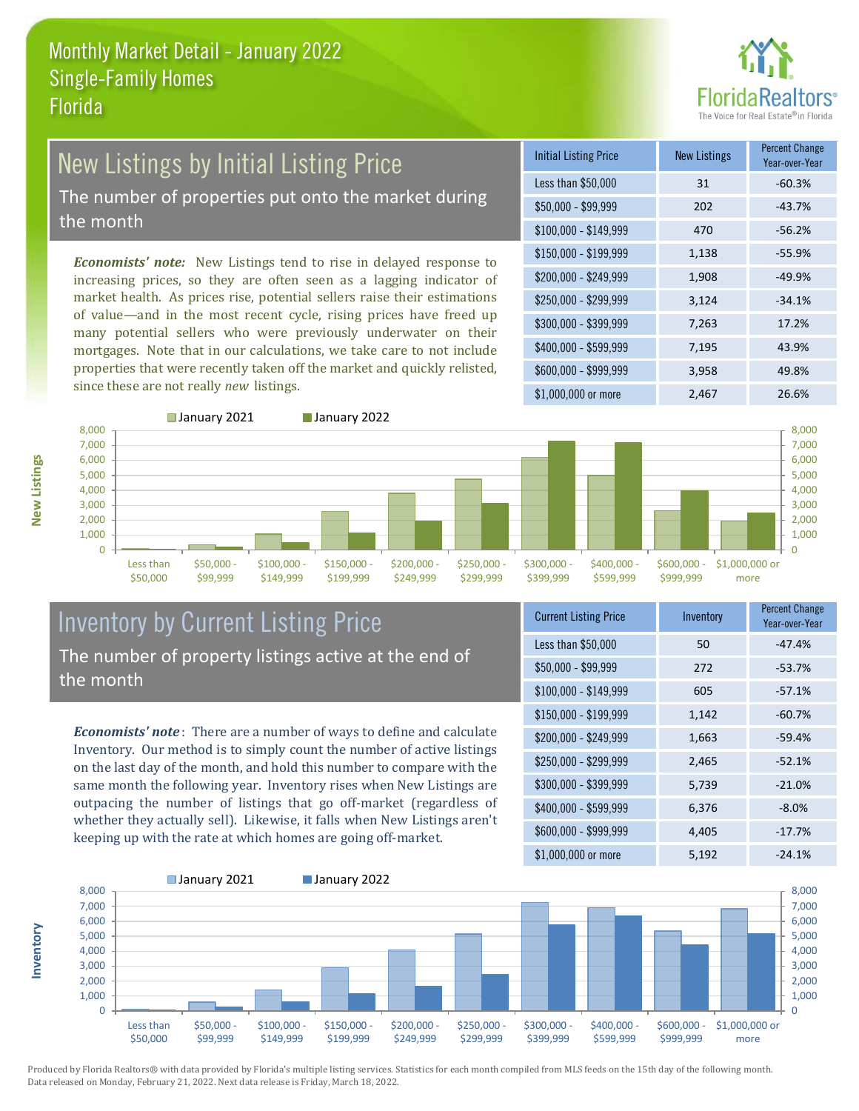

# New Listings by Initial Listing Price

The number of properties put onto the market during the month

*Economists' note:* New Listings tend to rise in delayed response to increasing prices, so they are often seen as a lagging indicator of market health. As prices rise, potential sellers raise their estimations of value—and in the most recent cycle, rising prices have freed up many potential sellers who were previously underwater on their mortgages. Note that in our calculations, we take care to not include properties that were recently taken off the market and quickly relisted, since these are not really *new* listings.

| <b>Initial Listing Price</b> | <b>New Listings</b> | <b>Percent Change</b><br>Year-over-Year |
|------------------------------|---------------------|-----------------------------------------|
| Less than \$50,000           | 31                  | $-60.3%$                                |
| \$50,000 - \$99,999          | 202                 | $-43.7%$                                |
| $$100,000 - $149,999$        | 470                 | $-56.2%$                                |
| $$150,000 - $199,999$        | 1,138               | $-55.9%$                                |
| \$200,000 - \$249,999        | 1,908               | $-49.9%$                                |
| \$250,000 - \$299,999        | 3,124               | $-34.1%$                                |
| \$300,000 - \$399,999        | 7,263               | 17.2%                                   |
| \$400,000 - \$599,999        | 7,195               | 43.9%                                   |
| \$600,000 - \$999,999        | 3,958               | 49.8%                                   |
| \$1,000,000 or more          | 2,467               | 26.6%                                   |



\$50,000

■ January 2021 **■ January 2022** 

\$199,999



#### Inventory by Current Listing Price The number of property listings active at the end of the month

\$149,999

*Economists' note* : There are a number of ways to define and calculate Inventory. Our method is to simply count the number of active listings on the last day of the month, and hold this number to compare with the same month the following year. Inventory rises when New Listings are outpacing the number of listings that go off-market (regardless of whether they actually sell). Likewise, it falls when New Listings aren't keeping up with the rate at which homes are going off-market.

| <b>Current Listing Price</b> | Inventory | Percent Change<br>Year-over-Year |
|------------------------------|-----------|----------------------------------|
| Less than \$50,000           | 50        | $-47.4%$                         |
| $$50,000 - $99,999$          | 272       | $-53.7%$                         |
| $$100,000 - $149,999$        | 605       | $-57.1%$                         |
| $$150,000 - $199,999$        | 1,142     | $-60.7%$                         |
| \$200,000 - \$249,999        | 1,663     | $-59.4%$                         |
| \$250,000 - \$299,999        | 2,465     | $-52.1%$                         |
| \$300,000 - \$399,999        | 5,739     | $-21.0%$                         |
| $$400,000 - $599,999$        | 6,376     | $-8.0%$                          |
| \$600,000 - \$999,999        | 4,405     | $-17.7%$                         |
| \$1,000,000 or more          | 5,192     | $-24.1%$                         |



Produced by Florida Realtors® with data provided by Florida's multiple listing services. Statistics for each month compiled from MLS feeds on the 15th day of the following month. Data released on Monday, February 21, 2022. Next data release is Friday, March 18, 2022.

**Inventory**